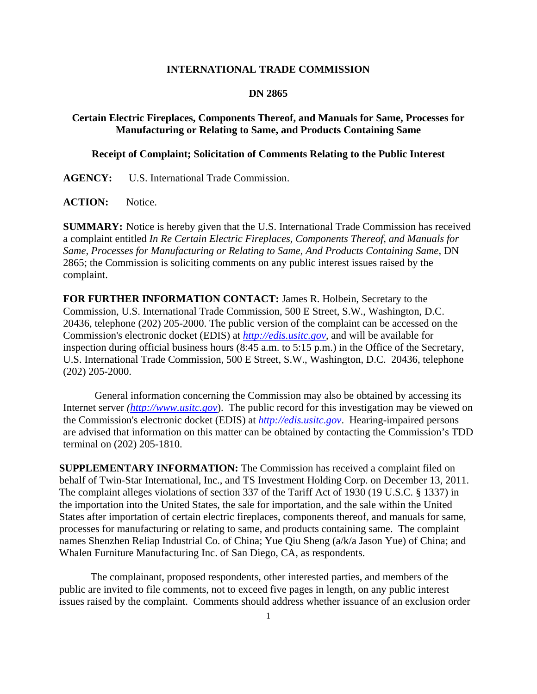## **INTERNATIONAL TRADE COMMISSION**

## **DN 2865**

## **Certain Electric Fireplaces, Components Thereof, and Manuals for Same, Processes for Manufacturing or Relating to Same, and Products Containing Same**

## **Receipt of Complaint; Solicitation of Comments Relating to the Public Interest**

**AGENCY:** U.S. International Trade Commission.

ACTION: Notice.

**SUMMARY:** Notice is hereby given that the U.S. International Trade Commission has received a complaint entitled *In Re Certain Electric Fireplaces, Components Thereof, and Manuals for Same, Processes for Manufacturing or Relating to Same, And Products Containing Same*, DN 2865; the Commission is soliciting comments on any public interest issues raised by the complaint.

**FOR FURTHER INFORMATION CONTACT:** James R. Holbein, Secretary to the Commission, U.S. International Trade Commission, 500 E Street, S.W., Washington, D.C. 20436, telephone (202) 205-2000. The public version of the complaint can be accessed on the Commission's electronic docket (EDIS) at *http://edis.usitc.gov*, and will be available for inspection during official business hours (8:45 a.m. to 5:15 p.m.) in the Office of the Secretary, U.S. International Trade Commission, 500 E Street, S.W., Washington, D.C. 20436, telephone (202) 205-2000.

General information concerning the Commission may also be obtained by accessing its Internet server *(http://www.usitc.gov*). The public record for this investigation may be viewed on the Commission's electronic docket (EDIS) at *http://edis.usitc.gov*. Hearing-impaired persons are advised that information on this matter can be obtained by contacting the Commission's TDD terminal on (202) 205-1810.

**SUPPLEMENTARY INFORMATION:** The Commission has received a complaint filed on behalf of Twin-Star International, Inc., and TS Investment Holding Corp. on December 13, 2011. The complaint alleges violations of section 337 of the Tariff Act of 1930 (19 U.S.C. § 1337) in the importation into the United States, the sale for importation, and the sale within the United States after importation of certain electric fireplaces, components thereof, and manuals for same, processes for manufacturing or relating to same, and products containing same. The complaint names Shenzhen Reliap Industrial Co. of China; Yue Qiu Sheng (a/k/a Jason Yue) of China; and Whalen Furniture Manufacturing Inc. of San Diego, CA, as respondents.

 The complainant, proposed respondents, other interested parties, and members of the public are invited to file comments, not to exceed five pages in length, on any public interest issues raised by the complaint. Comments should address whether issuance of an exclusion order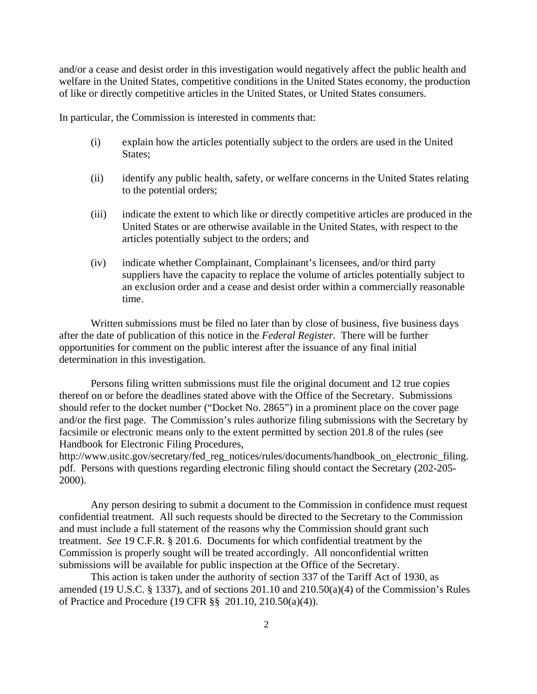and/or a cease and desist order in this investigation would negatively affect the public health and welfare in the United States, competitive conditions in the United States economy, the production of like or directly competitive articles in the United States, or United States consumers.

In particular, the Commission is interested in comments that:

- (i) explain how the articles potentially subject to the orders are used in the United States;
- (ii) identify any public health, safety, or welfare concerns in the United States relating to the potential orders;
- (iii) indicate the extent to which like or directly competitive articles are produced in the United States or are otherwise available in the United States, with respect to the articles potentially subject to the orders; and
- (iv) indicate whether Complainant, Complainant's licensees, and/or third party suppliers have the capacity to replace the volume of articles potentially subject to an exclusion order and a cease and desist order within a commercially reasonable time.

 Written submissions must be filed no later than by close of business, five business days after the date of publication of this notice in the *Federal Register*. There will be further opportunities for comment on the public interest after the issuance of any final initial determination in this investigation.

 Persons filing written submissions must file the original document and 12 true copies thereof on or before the deadlines stated above with the Office of the Secretary. Submissions should refer to the docket number ("Docket No. 2865") in a prominent place on the cover page and/or the first page. The Commission's rules authorize filing submissions with the Secretary by facsimile or electronic means only to the extent permitted by section 201.8 of the rules (see Handbook for Electronic Filing Procedures,

http://www.usitc.gov/secretary/fed\_reg\_notices/rules/documents/handbook\_on\_electronic\_filing. pdf. Persons with questions regarding electronic filing should contact the Secretary (202-205- 2000).

 Any person desiring to submit a document to the Commission in confidence must request confidential treatment. All such requests should be directed to the Secretary to the Commission and must include a full statement of the reasons why the Commission should grant such treatment. *See* 19 C.F.R. § 201.6. Documents for which confidential treatment by the Commission is properly sought will be treated accordingly. All nonconfidential written submissions will be available for public inspection at the Office of the Secretary.

This action is taken under the authority of section 337 of the Tariff Act of 1930, as amended (19 U.S.C. § 1337), and of sections 201.10 and 210.50(a)(4) of the Commission's Rules of Practice and Procedure (19 CFR §§ 201.10, 210.50(a)(4)).